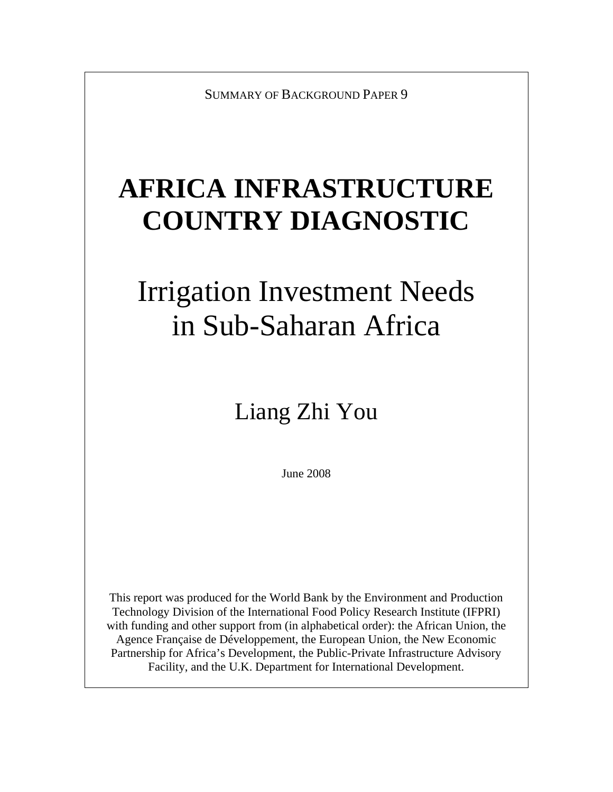SUMMARY OF BACKGROUND PAPER 9

## **AFRICA INFRASTRUCTURE COUNTRY DIAGNOSTIC**

# Irrigation Investment Needs in Sub-Saharan Africa

## Liang Zhi You

June 2008

This report was produced for the World Bank by the Environment and Production Technology Division of the International Food Policy Research Institute (IFPRI) with funding and other support from (in alphabetical order): the African Union, the Agence Française de Développement, the European Union, the New Economic Partnership for Africa's Development, the Public-Private Infrastructure Advisory Facility, and the U.K. Department for International Development.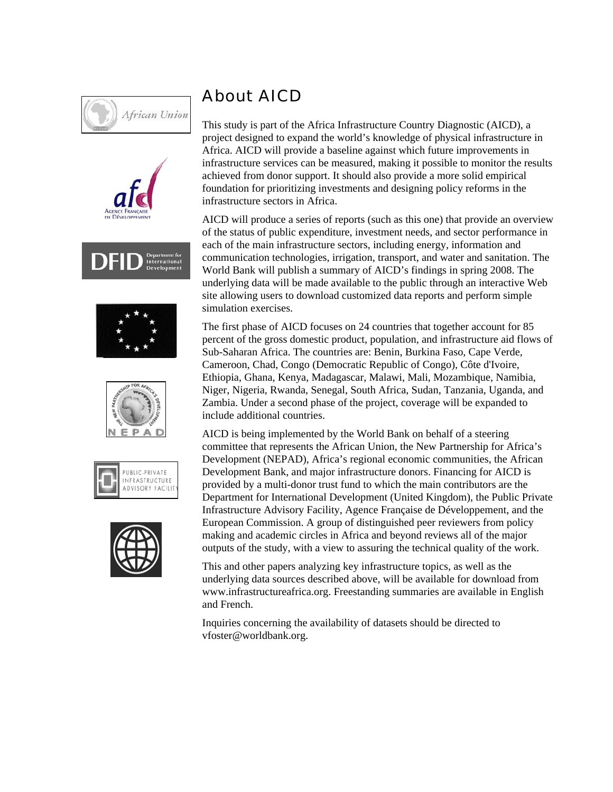













### About AICD

This study is part of the Africa Infrastructure Country Diagnostic (AICD), a project designed to expand the world's knowledge of physical infrastructure in Africa. AICD will provide a baseline against which future improvements in infrastructure services can be measured, making it possible to monitor the results achieved from donor support. It should also provide a more solid empirical foundation for prioritizing investments and designing policy reforms in the infrastructure sectors in Africa.

AICD will produce a series of reports (such as this one) that provide an overview of the status of public expenditure, investment needs, and sector performance in each of the main infrastructure sectors, including energy, information and communication technologies, irrigation, transport, and water and sanitation. The World Bank will publish a summary of AICD's findings in spring 2008. The underlying data will be made available to the public through an interactive Web site allowing users to download customized data reports and perform simple simulation exercises.

The first phase of AICD focuses on 24 countries that together account for 85 percent of the gross domestic product, population, and infrastructure aid flows of Sub-Saharan Africa. The countries are: Benin, Burkina Faso, Cape Verde, Cameroon, Chad, Congo (Democratic Republic of Congo), Côte d'Ivoire, Ethiopia, Ghana, Kenya, Madagascar, Malawi, Mali, Mozambique, Namibia, Niger, Nigeria, Rwanda, Senegal, South Africa, Sudan, Tanzania, Uganda, and Zambia. Under a second phase of the project, coverage will be expanded to include additional countries.

AICD is being implemented by the World Bank on behalf of a steering committee that represents the African Union, the New Partnership for Africa's Development (NEPAD), Africa's regional economic communities, the African Development Bank, and major infrastructure donors. Financing for AICD is provided by a multi-donor trust fund to which the main contributors are the Department for International Development (United Kingdom), the Public Private Infrastructure Advisory Facility, Agence Française de Développement, and the European Commission. A group of distinguished peer reviewers from policy making and academic circles in Africa and beyond reviews all of the major outputs of the study, with a view to assuring the technical quality of the work.

This and other papers analyzing key infrastructure topics, as well as the underlying data sources described above, will be available for download from www.infrastructureafrica.org. Freestanding summaries are available in English and French.

Inquiries concerning the availability of datasets should be directed to vfoster@worldbank.org.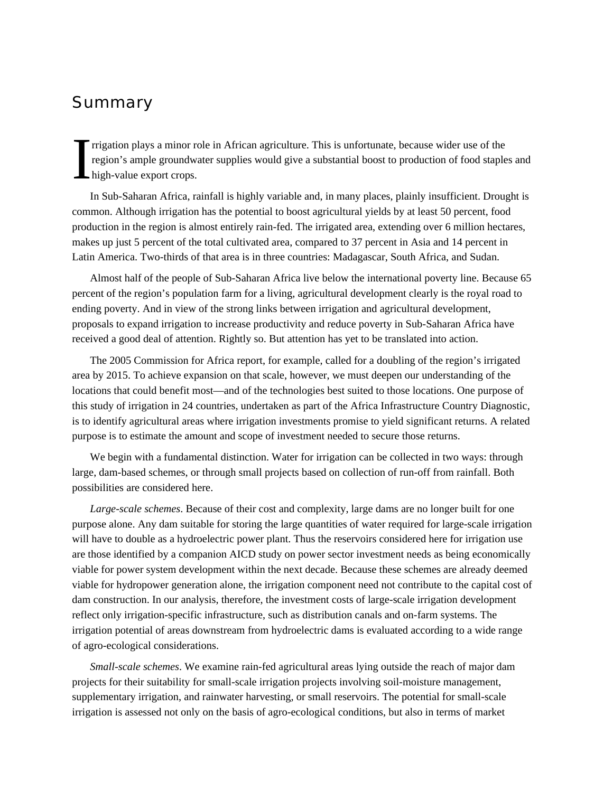### Summary

rrigation plays a minor role in African agriculture. This is unfortunate, because wider use of the region's ample groundwater supplies would give a substantial boost to production of food staples and high-value export crops. I

In Sub-Saharan Africa, rainfall is highly variable and, in many places, plainly insufficient. Drought is common. Although irrigation has the potential to boost agricultural yields by at least 50 percent, food production in the region is almost entirely rain-fed. The irrigated area, extending over 6 million hectares, makes up just 5 percent of the total cultivated area, compared to 37 percent in Asia and 14 percent in Latin America. Two-thirds of that area is in three countries: Madagascar, South Africa, and Sudan.

Almost half of the people of Sub-Saharan Africa live below the international poverty line. Because 65 percent of the region's population farm for a living, agricultural development clearly is the royal road to ending poverty. And in view of the strong links between irrigation and agricultural development, proposals to expand irrigation to increase productivity and reduce poverty in Sub-Saharan Africa have received a good deal of attention. Rightly so. But attention has yet to be translated into action.

The 2005 Commission for Africa report, for example, called for a doubling of the region's irrigated area by 2015. To achieve expansion on that scale, however, we must deepen our understanding of the locations that could benefit most—and of the technologies best suited to those locations. One purpose of this study of irrigation in 24 countries, undertaken as part of the Africa Infrastructure Country Diagnostic, is to identify agricultural areas where irrigation investments promise to yield significant returns. A related purpose is to estimate the amount and scope of investment needed to secure those returns.

We begin with a fundamental distinction. Water for irrigation can be collected in two ways: through large, dam-based schemes, or through small projects based on collection of run-off from rainfall. Both possibilities are considered here.

*Large-scale schemes*. Because of their cost and complexity, large dams are no longer built for one purpose alone. Any dam suitable for storing the large quantities of water required for large-scale irrigation will have to double as a hydroelectric power plant. Thus the reservoirs considered here for irrigation use are those identified by a companion AICD study on power sector investment needs as being economically viable for power system development within the next decade. Because these schemes are already deemed viable for hydropower generation alone, the irrigation component need not contribute to the capital cost of dam construction. In our analysis, therefore, the investment costs of large-scale irrigation development reflect only irrigation-specific infrastructure, such as distribution canals and on-farm systems. The irrigation potential of areas downstream from hydroelectric dams is evaluated according to a wide range of agro-ecological considerations.

*Small-scale schemes*. We examine rain-fed agricultural areas lying outside the reach of major dam projects for their suitability for small-scale irrigation projects involving soil-moisture management, supplementary irrigation, and rainwater harvesting, or small reservoirs. The potential for small-scale irrigation is assessed not only on the basis of agro-ecological conditions, but also in terms of market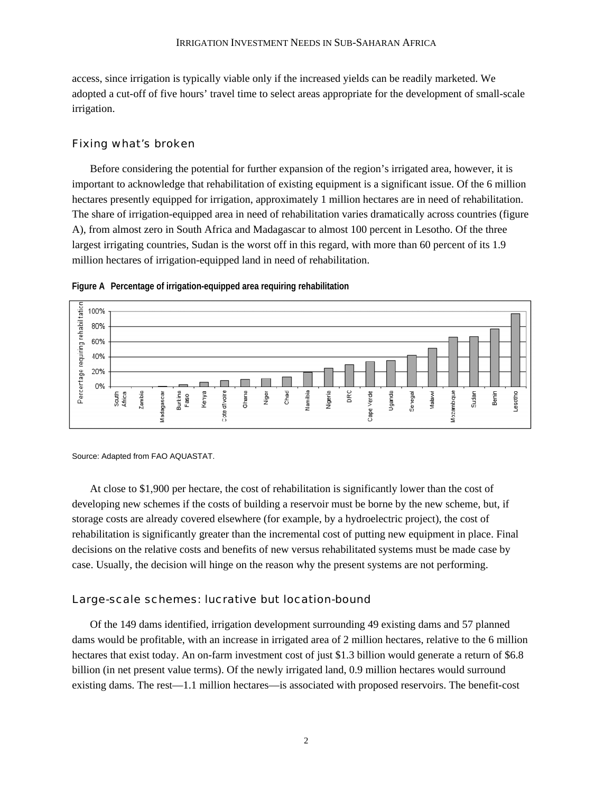access, since irrigation is typically viable only if the increased yields can be readily marketed. We adopted a cut-off of five hours' travel time to select areas appropriate for the development of small-scale irrigation.

#### Fixing what's broken

Before considering the potential for further expansion of the region's irrigated area, however, it is important to acknowledge that rehabilitation of existing equipment is a significant issue. Of the 6 million hectares presently equipped for irrigation, approximately 1 million hectares are in need of rehabilitation. The share of irrigation-equipped area in need of rehabilitation varies dramatically across countries (figure A), from almost zero in South Africa and Madagascar to almost 100 percent in Lesotho. Of the three largest irrigating countries, Sudan is the worst off in this regard, with more than 60 percent of its 1.9 million hectares of irrigation-equipped land in need of rehabilitation.



**Figure A Percentage of irrigation-equipped area requiring rehabilitation**

Source: Adapted from FAO AQUASTAT.

At close to \$1,900 per hectare, the cost of rehabilitation is significantly lower than the cost of developing new schemes if the costs of building a reservoir must be borne by the new scheme, but, if storage costs are already covered elsewhere (for example, by a hydroelectric project), the cost of rehabilitation is significantly greater than the incremental cost of putting new equipment in place. Final decisions on the relative costs and benefits of new versus rehabilitated systems must be made case by case. Usually, the decision will hinge on the reason why the present systems are not performing.

#### Large-scale schemes: lucrative but location-bound

Of the 149 dams identified, irrigation development surrounding 49 existing dams and 57 planned dams would be profitable, with an increase in irrigated area of 2 million hectares, relative to the 6 million hectares that exist today. An on-farm investment cost of just \$1.3 billion would generate a return of \$6.8 billion (in net present value terms). Of the newly irrigated land, 0.9 million hectares would surround existing dams. The rest—1.1 million hectares—is associated with proposed reservoirs. The benefit-cost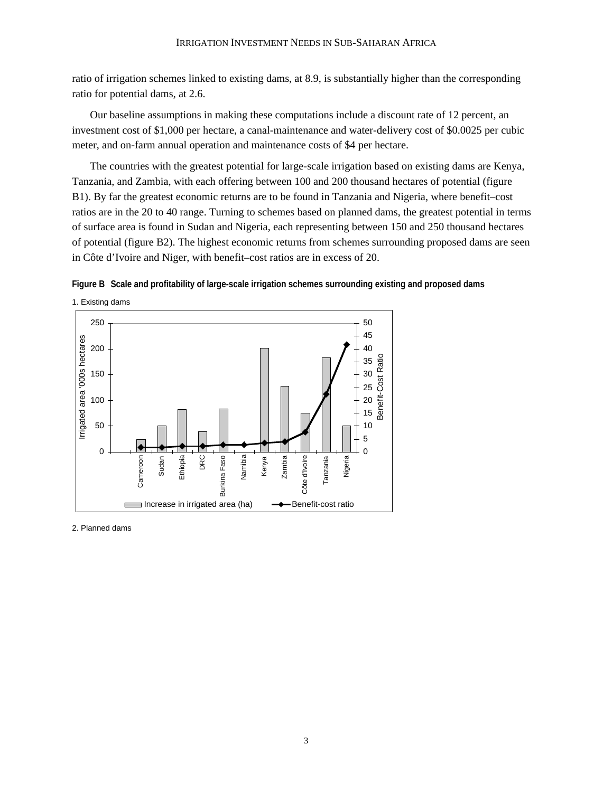ratio of irrigation schemes linked to existing dams, at 8.9, is substantially higher than the corresponding ratio for potential dams, at 2.6.

Our baseline assumptions in making these computations include a discount rate of 12 percent, an investment cost of \$1,000 per hectare, a canal-maintenance and water-delivery cost of \$0.0025 per cubic meter, and on-farm annual operation and maintenance costs of \$4 per hectare.

The countries with the greatest potential for large-scale irrigation based on existing dams are Kenya, Tanzania, and Zambia, with each offering between 100 and 200 thousand hectares of potential (figure B1). By far the greatest economic returns are to be found in Tanzania and Nigeria, where benefit–cost ratios are in the 20 to 40 range. Turning to schemes based on planned dams, the greatest potential in terms of surface area is found in Sudan and Nigeria, each representing between 150 and 250 thousand hectares of potential (figure B2). The highest economic returns from schemes surrounding proposed dams are seen in Côte d'Ivoire and Niger, with benefit–cost ratios are in excess of 20.





2. Planned dams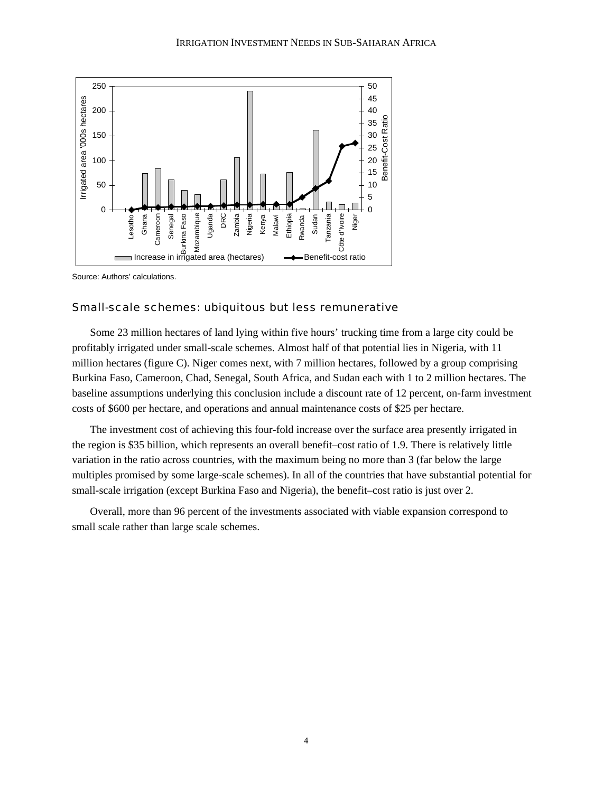

Source: Authors' calculations.

#### Small-scale schemes: ubiquitous but less remunerative

Some 23 million hectares of land lying within five hours' trucking time from a large city could be profitably irrigated under small-scale schemes. Almost half of that potential lies in Nigeria, with 11 million hectares (figure C). Niger comes next, with 7 million hectares, followed by a group comprising Burkina Faso, Cameroon, Chad, Senegal, South Africa, and Sudan each with 1 to 2 million hectares. The baseline assumptions underlying this conclusion include a discount rate of 12 percent, on-farm investment costs of \$600 per hectare, and operations and annual maintenance costs of \$25 per hectare.

The investment cost of achieving this four-fold increase over the surface area presently irrigated in the region is \$35 billion, which represents an overall benefit–cost ratio of 1.9. There is relatively little variation in the ratio across countries, with the maximum being no more than 3 (far below the large multiples promised by some large-scale schemes). In all of the countries that have substantial potential for small-scale irrigation (except Burkina Faso and Nigeria), the benefit–cost ratio is just over 2.

Overall, more than 96 percent of the investments associated with viable expansion correspond to small scale rather than large scale schemes.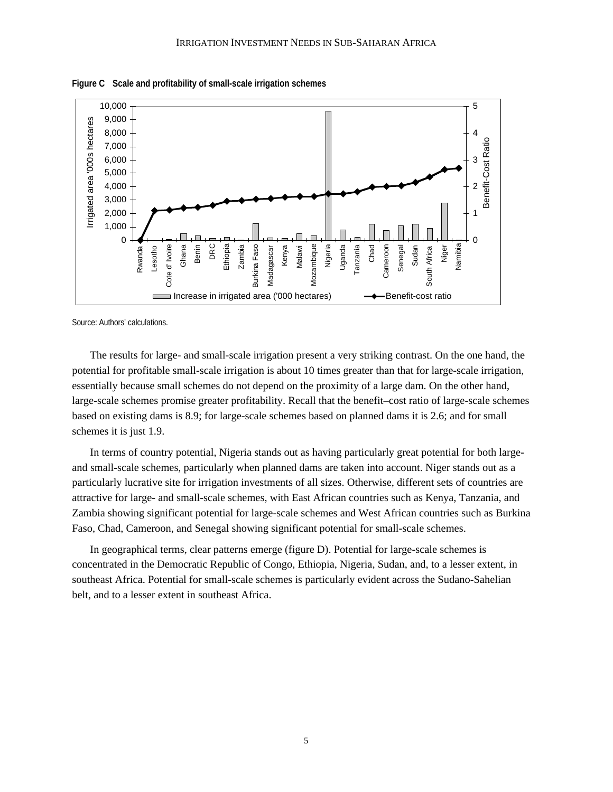

**Figure C Scale and profitability of small-scale irrigation schemes**

Source: Authors' calculations.

The results for large- and small-scale irrigation present a very striking contrast. On the one hand, the potential for profitable small-scale irrigation is about 10 times greater than that for large-scale irrigation, essentially because small schemes do not depend on the proximity of a large dam. On the other hand, large-scale schemes promise greater profitability. Recall that the benefit–cost ratio of large-scale schemes based on existing dams is 8.9; for large-scale schemes based on planned dams it is 2.6; and for small schemes it is just 1.9.

In terms of country potential, Nigeria stands out as having particularly great potential for both largeand small-scale schemes, particularly when planned dams are taken into account. Niger stands out as a particularly lucrative site for irrigation investments of all sizes. Otherwise, different sets of countries are attractive for large- and small-scale schemes, with East African countries such as Kenya, Tanzania, and Zambia showing significant potential for large-scale schemes and West African countries such as Burkina Faso, Chad, Cameroon, and Senegal showing significant potential for small-scale schemes.

In geographical terms, clear patterns emerge (figure D). Potential for large-scale schemes is concentrated in the Democratic Republic of Congo, Ethiopia, Nigeria, Sudan, and, to a lesser extent, in southeast Africa. Potential for small-scale schemes is particularly evident across the Sudano-Sahelian belt, and to a lesser extent in southeast Africa.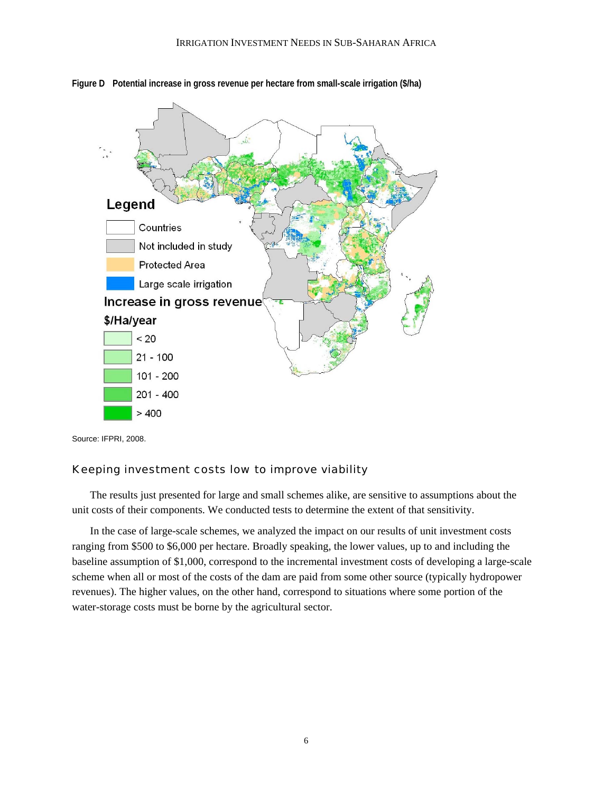

**Figure D Potential increase in gross revenue per hectare from small-scale irrigation (\$/ha)**

Source: IFPRI, 2008.

#### Keeping investment costs low to improve viability

The results just presented for large and small schemes alike, are sensitive to assumptions about the unit costs of their components. We conducted tests to determine the extent of that sensitivity.

In the case of large-scale schemes, we analyzed the impact on our results of unit investment costs ranging from \$500 to \$6,000 per hectare. Broadly speaking, the lower values, up to and including the baseline assumption of \$1,000, correspond to the incremental investment costs of developing a large-scale scheme when all or most of the costs of the dam are paid from some other source (typically hydropower revenues). The higher values, on the other hand, correspond to situations where some portion of the water-storage costs must be borne by the agricultural sector.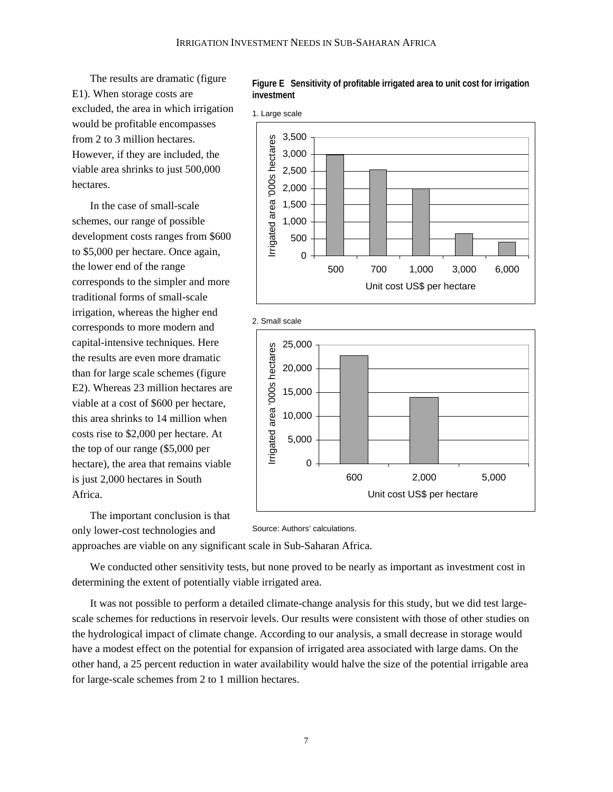The results are dramatic (figure E1). When storage costs are excluded, the area in which irrigation would be profitable encompasses from 2 to 3 million hectares. However, if they are included, the viable area shrinks to just 500,000 hectares.

In the case of small-scale schemes, our range of possible development costs ranges from \$600 to \$5,000 per hectare. Once again, the lower end of the range corresponds to the simpler and more traditional forms of small-scale irrigation, whereas the higher end corresponds to more modern and capital-intensive techniques. Here the results are even more dramatic than for large scale schemes (figure E2). Whereas 23 million hectares are viable at a cost of \$600 per hectare, this area shrinks to 14 million when costs rise to \$2,000 per hectare. At the top of our range (\$5,000 per hectare), the area that remains viable is just 2,000 hectares in South Africa.

**Figure E Sensitivity of profitable irrigated area to unit cost for irrigation investment**







The important conclusion is that only lower-cost technologies and

Source: Authors' calculations.

approaches are viable on any significant scale in Sub-Saharan Africa.

We conducted other sensitivity tests, but none proved to be nearly as important as investment cost in determining the extent of potentially viable irrigated area.

It was not possible to perform a detailed climate-change analysis for this study, but we did test largescale schemes for reductions in reservoir levels. Our results were consistent with those of other studies on the hydrological impact of climate change. According to our analysis, a small decrease in storage would have a modest effect on the potential for expansion of irrigated area associated with large dams. On the other hand, a 25 percent reduction in water availability would halve the size of the potential irrigable area for large-scale schemes from 2 to 1 million hectares.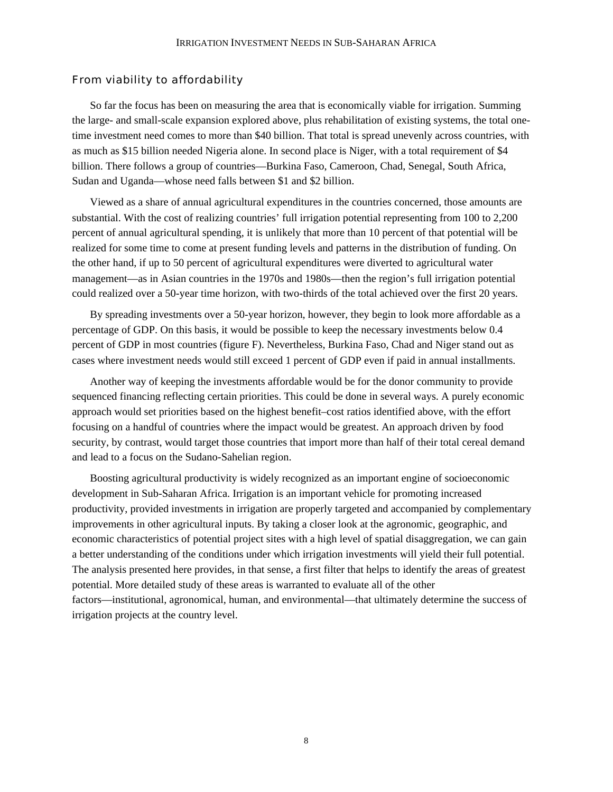#### From viability to affordability

So far the focus has been on measuring the area that is economically viable for irrigation. Summing the large- and small-scale expansion explored above, plus rehabilitation of existing systems, the total onetime investment need comes to more than \$40 billion. That total is spread unevenly across countries, with as much as \$15 billion needed Nigeria alone. In second place is Niger, with a total requirement of \$4 billion. There follows a group of countries—Burkina Faso, Cameroon, Chad, Senegal, South Africa, Sudan and Uganda—whose need falls between \$1 and \$2 billion.

Viewed as a share of annual agricultural expenditures in the countries concerned, those amounts are substantial. With the cost of realizing countries' full irrigation potential representing from 100 to 2,200 percent of annual agricultural spending, it is unlikely that more than 10 percent of that potential will be realized for some time to come at present funding levels and patterns in the distribution of funding. On the other hand, if up to 50 percent of agricultural expenditures were diverted to agricultural water management—as in Asian countries in the 1970s and 1980s—then the region's full irrigation potential could realized over a 50-year time horizon, with two-thirds of the total achieved over the first 20 years.

By spreading investments over a 50-year horizon, however, they begin to look more affordable as a percentage of GDP. On this basis, it would be possible to keep the necessary investments below 0.4 percent of GDP in most countries (figure F). Nevertheless, Burkina Faso, Chad and Niger stand out as cases where investment needs would still exceed 1 percent of GDP even if paid in annual installments.

Another way of keeping the investments affordable would be for the donor community to provide sequenced financing reflecting certain priorities. This could be done in several ways. A purely economic approach would set priorities based on the highest benefit–cost ratios identified above, with the effort focusing on a handful of countries where the impact would be greatest. An approach driven by food security, by contrast, would target those countries that import more than half of their total cereal demand and lead to a focus on the Sudano-Sahelian region.

Boosting agricultural productivity is widely recognized as an important engine of socioeconomic development in Sub-Saharan Africa. Irrigation is an important vehicle for promoting increased productivity, provided investments in irrigation are properly targeted and accompanied by complementary improvements in other agricultural inputs. By taking a closer look at the agronomic, geographic, and economic characteristics of potential project sites with a high level of spatial disaggregation, we can gain a better understanding of the conditions under which irrigation investments will yield their full potential. The analysis presented here provides, in that sense, a first filter that helps to identify the areas of greatest potential. More detailed study of these areas is warranted to evaluate all of the other factors—institutional, agronomical, human, and environmental—that ultimately determine the success of irrigation projects at the country level.